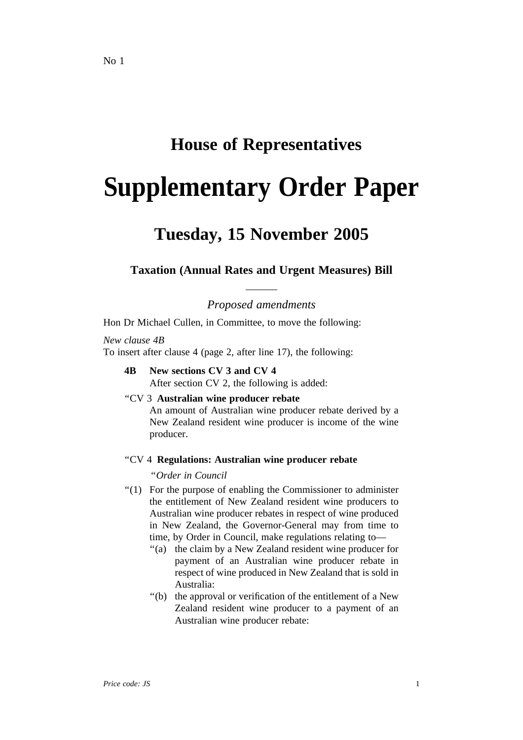# **House of Representatives**

# **Supplementary Order Paper**

# **Tuesday, 15 November 2005**

## **Taxation (Annual Rates and Urgent Measures) Bill**

*Proposed amendments*

Hon Dr Michael Cullen, in Committee, to move the following:

## *New clause 4B*

To insert after clause 4 (page 2, after line 17), the following:

**4B New sections CV 3 and CV 4** After section CV 2, the following is added:

#### ''CV 3 **Australian wine producer rebate**

An amount of Australian wine producer rebate derived by a New Zealand resident wine producer is income of the wine producer.

#### ''CV 4 **Regulations: Australian wine producer rebate**

''*Order in Council*

- ''(1) For the purpose of enabling the Commissioner to administer the entitlement of New Zealand resident wine producers to Australian wine producer rebates in respect of wine produced in New Zealand, the Governor-General may from time to time, by Order in Council, make regulations relating to—
	- ''(a) the claim by a New Zealand resident wine producer for payment of an Australian wine producer rebate in respect of wine produced in New Zealand that is sold in Australia:
	- ''(b) the approval or verification of the entitlement of a New Zealand resident wine producer to a payment of an Australian wine producer rebate: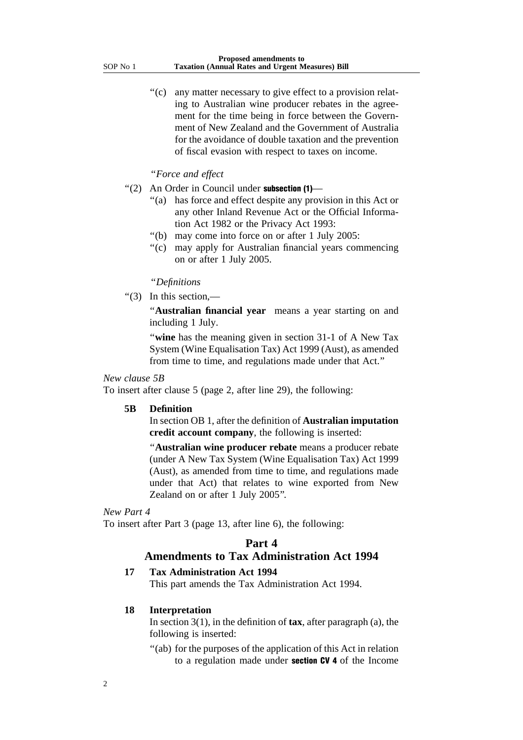"(c) any matter necessary to give effect to a provision relating to Australian wine producer rebates in the agreement for the time being in force between the Government of New Zealand and the Government of Australia for the avoidance of double taxation and the prevention of fiscal evasion with respect to taxes on income.

#### ''*Force and effect*

- ''(2) An Order in Council under subsection (1)—
	- ''(a) has force and effect despite any provision in this Act or any other Inland Revenue Act or the Official Information Act 1982 or the Privacy Act 1993:
	- ''(b) may come into force on or after 1 July 2005:
	- ''(c) may apply for Australian financial years commencing on or after 1 July 2005.

#### ''*Definitions*

"(3) In this section, $-$ 

''**Australian financial year** means a year starting on and including 1 July.

''**wine** has the meaning given in section 31-1 of A New Tax System (Wine Equalisation Tax) Act 1999 (Aust), as amended from time to time, and regulations made under that Act.''

#### *New clause 5B*

To insert after clause 5 (page 2, after line 29), the following:

#### **5B Definition**

In section OB 1, after the definition of **Australian imputation credit account company**, the following is inserted:

''**Australian wine producer rebate** means a producer rebate (under A New Tax System (Wine Equalisation Tax) Act 1999 (Aust), as amended from time to time, and regulations made under that Act) that relates to wine exported from New Zealand on or after 1 July 2005''.

#### *New Part 4*

To insert after Part 3 (page 13, after line 6), the following:

## **Part 4**

#### **Amendments to Tax Administration Act 1994**

#### **17 Tax Administration Act 1994**

This part amends the Tax Administration Act 1994.

#### **18 Interpretation**

In section 3(1), in the definition of **tax**, after paragraph (a), the following is inserted:

''(ab) for the purposes of the application of this Act in relation to a regulation made under section CV 4 of the Income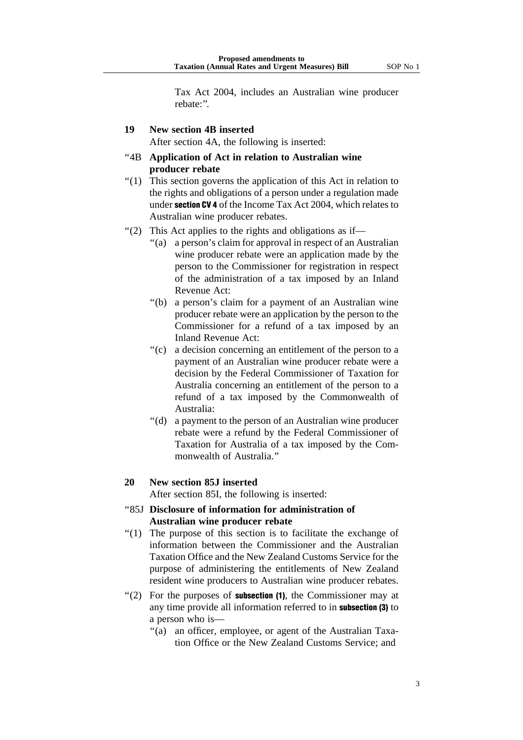Tax Act 2004, includes an Australian wine producer rebate:''.

#### **19 New section 4B inserted**

After section 4A, the following is inserted:

- ''4B **Application of Act in relation to Australian wine producer rebate**
- ''(1) This section governs the application of this Act in relation to the rights and obligations of a person under a regulation made under section CV 4 of the Income Tax Act 2004, which relates to Australian wine producer rebates.
- "(2) This Act applies to the rights and obligations as if—
	- ''(a) a person's claim for approval in respect of an Australian wine producer rebate were an application made by the person to the Commissioner for registration in respect of the administration of a tax imposed by an Inland Revenue Act:
	- ''(b) a person's claim for a payment of an Australian wine producer rebate were an application by the person to the Commissioner for a refund of a tax imposed by an Inland Revenue Act:
	- "(c) a decision concerning an entitlement of the person to a payment of an Australian wine producer rebate were a decision by the Federal Commissioner of Taxation for Australia concerning an entitlement of the person to a refund of a tax imposed by the Commonwealth of Australia:
	- ''(d) a payment to the person of an Australian wine producer rebate were a refund by the Federal Commissioner of Taxation for Australia of a tax imposed by the Commonwealth of Australia.''

#### **20 New section 85J inserted**

After section 85I, the following is inserted:

#### ''85J **Disclosure of information for administration of Australian wine producer rebate**

- ''(1) The purpose of this section is to facilitate the exchange of information between the Commissioner and the Australian Taxation Office and the New Zealand Customs Service for the purpose of administering the entitlements of New Zealand resident wine producers to Australian wine producer rebates.
- $'(2)$  For the purposes of **subsection (1)**, the Commissioner may at any time provide all information referred to in subsection (3) to a person who is—
	- ''(a) an officer, employee, or agent of the Australian Taxation Office or the New Zealand Customs Service; and